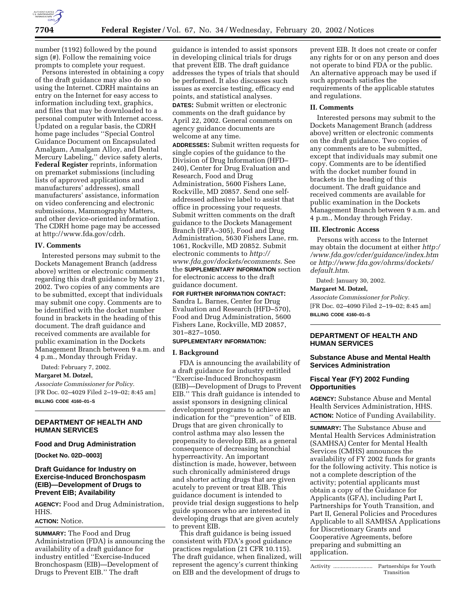

number (1192) followed by the pound sign (#). Follow the remaining voice prompts to complete your request.

Persons interested in obtaining a copy of the draft guidance may also do so using the Internet. CDRH maintains an entry on the Internet for easy access to information including text, graphics, and files that may be downloaded to a personal computer with Internet access. Updated on a regular basis, the CDRH home page includes ''Special Control Guidance Document on Encapsulated Amalgam, Amalgam Alloy, and Dental Mercury Labeling,'' device safety alerts, **Federal Register** reprints, information on premarket submissions (including lists of approved applications and manufacturers' addresses), small manufacturers' assistance, information on video conferencing and electronic submissions, Mammography Matters, and other device-oriented information. The CDRH home page may be accessed at http://www.fda.gov/cdrh.

### **IV. Comments**

Interested persons may submit to the Dockets Management Branch (address above) written or electronic comments regarding this draft guidance by May 21, 2002. Two copies of any comments are to be submitted, except that individuals may submit one copy. Comments are to be identified with the docket number found in brackets in the heading of this document. The draft guidance and received comments are available for public examination in the Dockets Management Branch between 9 a.m. and 4 p.m., Monday through Friday.

Dated: February 7, 2002.

# **Margaret M. Dotzel,**

*Associate Commissioner for Policy.* [FR Doc. 02–4029 Filed 2–19–02; 8:45 am] **BILLING CODE 4160–01–S**

# **DEPARTMENT OF HEALTH AND HUMAN SERVICES**

# **Food and Drug Administration**

**[Docket No. 02D–0003]**

# **Draft Guidance for Industry on Exercise-Induced Bronchospasm (EIB)—Development of Drugs to Prevent EIB; Availability**

**AGENCY:** Food and Drug Administration, HHS.

# **ACTION:** Notice.

**SUMMARY:** The Food and Drug Administration (FDA) is announcing the availability of a draft guidance for industry entitled ''Exercise-Induced Bronchospasm (EIB)—Development of Drugs to Prevent EIB.'' The draft

guidance is intended to assist sponsors in developing clinical trials for drugs that prevent EIB. The draft guidance addresses the types of trials that should be performed. It also discusses such issues as exercise testing, efficacy end points, and statistical analyses. **DATES:** Submit written or electronic comments on the draft guidance by April 22, 2002. General comments on agency guidance documents are welcome at any time. **ADDRESSES:** Submit written requests for

single copies of the guidance to the Division of Drug Information (HFD– 240), Center for Drug Evaluation and Research, Food and Drug Administration, 5600 Fishers Lane, Rockville, MD 20857. Send one selfaddressed adhesive label to assist that office in processing your requests. Submit written comments on the draft guidance to the Dockets Management Branch (HFA–305), Food and Drug Administration, 5630 Fishers Lane, rm. 1061, Rockville, MD 20852. Submit electronic comments to *http:// www.fda.gov/dockets/ecomments*. See the **SUPPLEMENTARY INFORMATION** section for electronic access to the draft guidance document.

#### **FOR FURTHER INFORMATION CONTACT:**

Sandra L. Barnes, Center for Drug Evaluation and Research (HFD–570), Food and Drug Administration, 5600 Fishers Lane, Rockville, MD 20857, 301–827–1050.

# **SUPPLEMENTARY INFORMATION:**

#### **I. Background**

FDA is announcing the availability of a draft guidance for industry entitled ''Exercise-Induced Bronchospasm (EIB)—Development of Drugs to Prevent EIB.'' This draft guidance is intended to assist sponsors in designing clinical development programs to achieve an indication for the ''prevention'' of EIB. Drugs that are given chronically to control asthma may also lessen the propensity to develop EIB, as a general consequence of decreasing bronchial hyperreactivity. An important distinction is made, however, between such chronically administered drugs and shorter acting drugs that are given acutely to prevent or treat EIB. This guidance document is intended to provide trial design suggestions to help guide sponsors who are interested in developing drugs that are given acutely to prevent EIB.

This draft guidance is being issued consistent with FDA's good guidance practices regulation (21 CFR 10.115). The draft guidance, when finalized, will represent the agency's current thinking on EIB and the development of drugs to

prevent EIB. It does not create or confer any rights for or on any person and does not operate to bind FDA or the public. An alternative approach may be used if such approach satisfies the requirements of the applicable statutes and regulations.

### **II. Comments**

Interested persons may submit to the Dockets Management Branch (address above) written or electronic comments on the draft guidance. Two copies of any comments are to be submitted, except that individuals may submit one copy. Comments are to be identified with the docket number found in brackets in the heading of this document. The draft guidance and received comments are available for public examination in the Dockets Management Branch between 9 a.m. and 4 p.m., Monday through Friday.

### **III. Electronic Access**

Persons with access to the Internet may obtain the document at either *http:/ /www.fda.gov/cder/guidance/index.htm* or *http://www.fda.gov/ohrms/dockets/ default.htm*.

Dated: January 30, 2002.

#### **Margaret M. Dotzel,**

*Associate Commissioner for Policy.*

[FR Doc. 02–4090 Filed 2–19–02; 8:45 am]

**BILLING CODE 4160–01–S**

# **DEPARTMENT OF HEALTH AND HUMAN SERVICES**

### **Substance Abuse and Mental Health Services Administration**

# **Fiscal Year (FY) 2002 Funding Opportunities**

**AGENCY:** Substance Abuse and Mental Health Services Administration, HHS. **ACTION:** Notice of Funding Availability.

**SUMMARY:** The Substance Abuse and Mental Health Services Administration (SAMHSA) Center for Mental Health Services (CMHS) announces the availability of FY 2002 funds for grants for the following activity. This notice is not a complete description of the activity; potential applicants must obtain a copy of the Guidance for Applicants (GFA), including Part I, Partnerships for Youth Transition, and Part II, General Policies and Procedures Applicable to all SAMHSA Applications for Discretionary Grants and Cooperative Agreements, before preparing and submitting an application.

Activity .......................... Partnerships for Youth Transition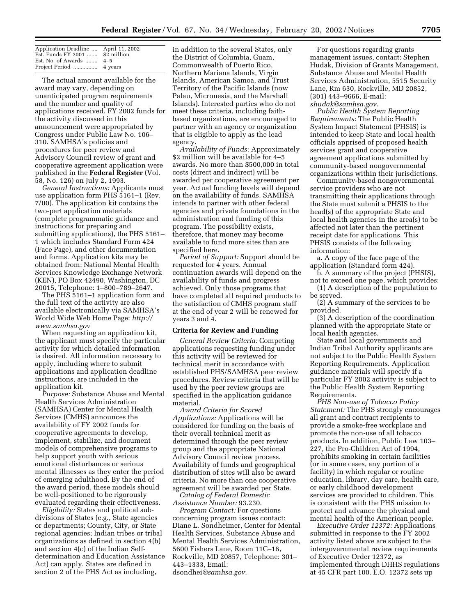| Application Deadline  April 11, 2002 |  |
|--------------------------------------|--|
| Est. Funds $FY$ 2001  \$2 million    |  |
| Est. No. of Awards $4-5$             |  |
|                                      |  |

The actual amount available for the award may vary, depending on unanticipated program requirements and the number and quality of applications received. FY 2002 funds for the activity discussed in this announcement were appropriated by Congress under Public Law No. 106– 310. SAMHSA's policies and procedures for peer review and Advisory Council review of grant and cooperative agreement application were published in the **Federal Register** (Vol. 58, No. 126) on July 2, 1993.

*General Instructions:* Applicants must use application form PHS 5161–1 (Rev. 7/00). The application kit contains the two-part application materials (complete programmatic guidance and instructions for preparing and submitting applications), the PHS 5161– 1 which includes Standard Form 424 (Face Page), and other documentation and forms. Application kits may be obtained from: National Mental Health Services Knowledge Exchange Network (KEN), PO Box 42490, Washington, DC 20015, Telephone: 1–800–789–2647.

The PHS 5161–1 application form and the full text of the activity are also available electronically via SAMHSA's World Wide Web Home Page: *http:// www.samhsa.gov*

When requesting an application kit, the applicant must specify the particular activity for which detailed information is desired. All information necessary to apply, including where to submit applications and application deadline instructions, are included in the application kit.

*Purpose:* Substance Abuse and Mental Health Services Administration (SAMHSA) Center for Mental Health Services (CMHS) announces the availability of FY 2002 funds for cooperative agreements to develop, implement, stabilize, and document models of comprehensive programs to help support youth with serious emotional disturbances or serious mental illnesses as they enter the period of emerging adulthood. By the end of the award period, these models should be well-positioned to be rigorously evaluated regarding their effectiveness.

*Eligibility:* States and political subdivisions of States (e.g., State agencies or departments; County, City, or State regional agencies; Indian tribes or tribal organizations as defined in section 4(b) and section 4(c) of the Indian Selfdetermination and Education Assistance Act) can apply. States are defined in section 2 of the PHS Act as including,

in addition to the several States, only the District of Columbia, Guam, Commonwealth of Puerto Rico, Northern Mariana Islands, Virgin Islands, American Samoa, and Trust Territory of the Pacific Islands (now Palau, Micronesia, and the Marshall Islands). Interested parties who do not meet these criteria, including faithbased organizations, are encouraged to partner with an agency or organization that is eligible to apply as the lead agency.

*Availability of Funds:* Approximately \$2 million will be available for 4–5 awards. No more than \$500,000 in total costs (direct and indirect) will be awarded per cooperative agreement per year. Actual funding levels will depend on the availability of funds. SAMHSA intends to partner with other federal agencies and private foundations in the administration and funding of this program. The possibility exists, therefore, that money may become available to fund more sites than are specified here.

*Period of Support:* Support should be requested for 4 years. Annual continuation awards will depend on the availability of funds and progress achieved. Only those programs that have completed all required products to the satisfaction of CMHS program staff at the end of year 2 will be renewed for years 3 and 4.

### **Criteria for Review and Funding**

*General Review Criteria:* Competing applications requesting funding under this activity will be reviewed for technical merit in accordance with established PHS/SAMHSA peer review procedures. Review criteria that will be used by the peer review groups are specified in the application guidance material.

*Award Criteria for Scored Applications:* Applications will be considered for funding on the basis of their overall technical merit as determined through the peer review group and the appropriate National Advisory Council review process. Availability of funds and geographical distribution of sites will also be award criteria. No more than one cooperative agreement will be awarded per State.

*Catalog of Federal Domestic Assistance Number:* 93.230.

*Program Contact:* For questions concerning program issues contact: Diane L. Sondheimer, Center for Mental Health Services, Substance Abuse and Mental Health Services Administration, 5600 Fishers Lane, Room 11C–16, Rockville, MD 20857, Telephone: 301– 443–1333, Email: dsondhei*@samhsa.gov*.

For questions regarding grants management issues, contact: Stephen Hudak, Division of Grants Management, Substance Abuse and Mental Health Services Administration, 5515 Security Lane, Rm 630, Rockville, MD 20852, (301) 443–9666, E-mail: *shudak@samhsa.gov*.

*Public Health System Reporting Requirements:* The Public Health System Impact Statement (PHSIS) is intended to keep State and local health officials apprised of proposed health services grant and cooperative agreement applications submitted by community-based nongovernmental organizations within their jurisdictions.

Community-based nongovernmental service providers who are not transmitting their applications through the State must submit a PHSIS to the head(s) of the appropriate State and local health agencies in the area(s) to be affected not later than the pertinent receipt date for applications. This PHSIS consists of the following information:

a. A copy of the face page of the application (Standard form 424).

b. A summary of the project (PHSIS), not to exceed one page, which provides:

(1) A description of the population to be served.

(2) A summary of the services to be provided.

(3) A description of the coordination planned with the appropriate State or local health agencies.

State and local governments and Indian Tribal Authority applicants are not subject to the Public Health System Reporting Requirements. Application guidance materials will specify if a particular FY 2002 activity is subject to the Public Health System Reporting Requirements.

*PHS Non-use of Tobacco Policy Statement:* The PHS strongly encourages all grant and contract recipients to provide a smoke-free workplace and promote the non-use of all tobacco products. In addition, Public Law 103– 227, the Pro-Children Act of 1994, prohibits smoking in certain facilities (or in some cases, any portion of a facility) in which regular or routine education, library, day care, health care, or early childhood development services are provided to children. This is consistent with the PHS mission to protect and advance the physical and mental health of the American people.

*Executive Order 12372:* Applications submitted in response to the FY 2002 activity listed above are subject to the intergovernmental review requirements of Executive Order 12372, as implemented through DHHS regulations at 45 CFR part 100. E.O. 12372 sets up